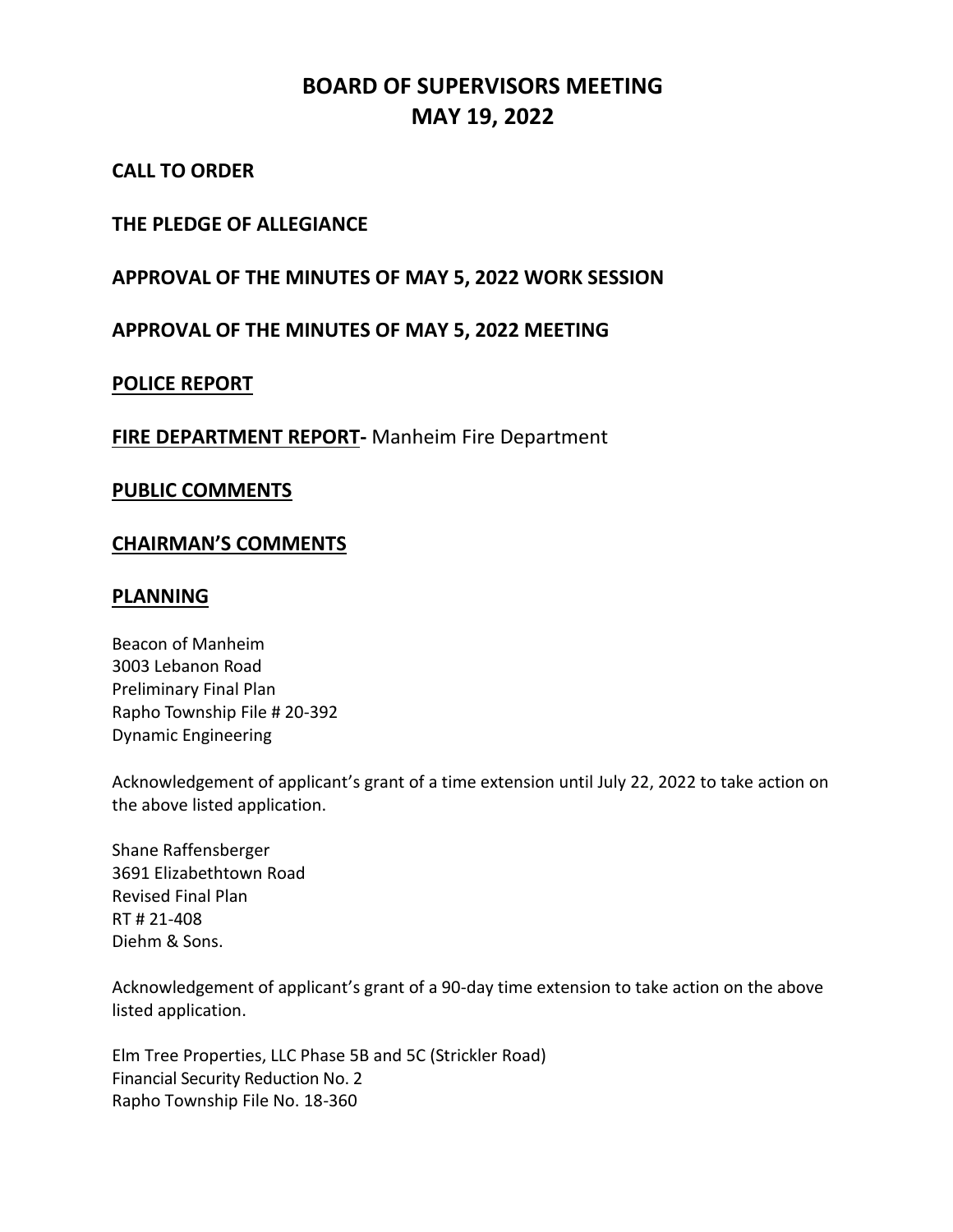# **BOARD OF SUPERVISORS MEETING MAY 19, 2022**

# **CALL TO ORDER**

# **THE PLEDGE OF ALLEGIANCE**

# **APPROVAL OF THE MINUTES OF MAY 5, 2022 WORK SESSION**

# **APPROVAL OF THE MINUTES OF MAY 5, 2022 MEETING**

## **POLICE REPORT**

## **FIRE DEPARTMENT REPORT-** Manheim Fire Department

#### **PUBLIC COMMENTS**

## **CHAIRMAN'S COMMENTS**

## **PLANNING**

Beacon of Manheim 3003 Lebanon Road Preliminary Final Plan Rapho Township File # 20-392 Dynamic Engineering

Acknowledgement of applicant's grant of a time extension until July 22, 2022 to take action on the above listed application.

Shane Raffensberger 3691 Elizabethtown Road Revised Final Plan RT # 21-408 Diehm & Sons.

Acknowledgement of applicant's grant of a 90-day time extension to take action on the above listed application.

Elm Tree Properties, LLC Phase 5B and 5C (Strickler Road) Financial Security Reduction No. 2 Rapho Township File No. 18-360